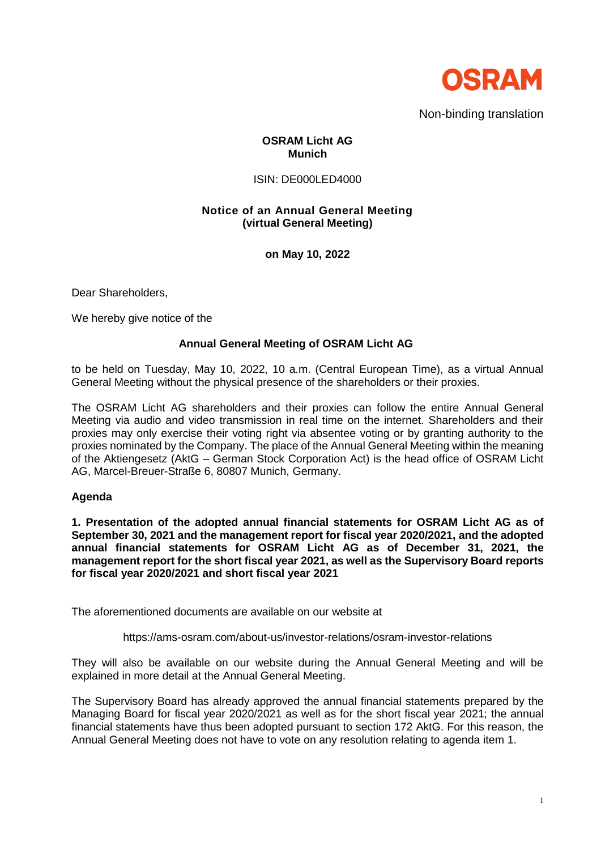

### **OSRAM Licht AG Munich**

#### ISIN: DE000LED4000

# **Notice of an Annual General Meeting (virtual General Meeting)**

**on May 10, 2022**

Dear Shareholders,

We hereby give notice of the

## **Annual General Meeting of OSRAM Licht AG**

to be held on Tuesday, May 10, 2022, 10 a.m. (Central European Time), as a virtual Annual General Meeting without the physical presence of the shareholders or their proxies.

The OSRAM Licht AG shareholders and their proxies can follow the entire Annual General Meeting via audio and video transmission in real time on the internet. Shareholders and their proxies may only exercise their voting right via absentee voting or by granting authority to the proxies nominated by the Company. The place of the Annual General Meeting within the meaning of the Aktiengesetz (AktG – German Stock Corporation Act) is the head office of OSRAM Licht AG, Marcel-Breuer-Straße 6, 80807 Munich, Germany.

## **Agenda**

**1. Presentation of the adopted annual financial statements for OSRAM Licht AG as of September 30, 2021 and the management report for fiscal year 2020/2021, and the adopted annual financial statements for OSRAM Licht AG as of December 31, 2021, the management report for the short fiscal year 2021, as well as the Supervisory Board reports for fiscal year 2020/2021 and short fiscal year 2021**

The aforementioned documents are available on our website at

https://ams-osram.com/about-us/investor-relations/osram-investor-relations

They will also be available on our website during the Annual General Meeting and will be explained in more detail at the Annual General Meeting.

The Supervisory Board has already approved the annual financial statements prepared by the Managing Board for fiscal year 2020/2021 as well as for the short fiscal year 2021; the annual financial statements have thus been adopted pursuant to section 172 AktG. For this reason, the Annual General Meeting does not have to vote on any resolution relating to agenda item 1.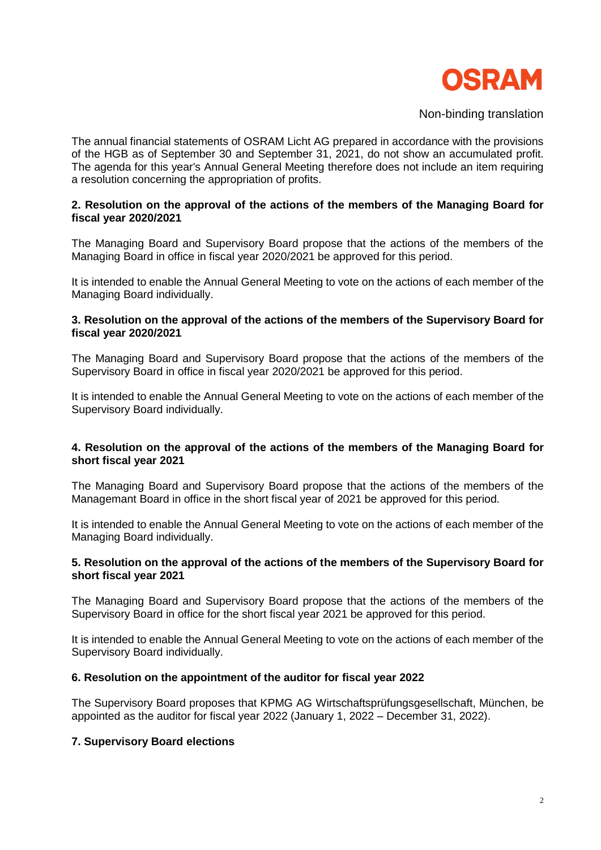

The annual financial statements of OSRAM Licht AG prepared in accordance with the provisions of the HGB as of September 30 and September 31, 2021, do not show an accumulated profit. The agenda for this year's Annual General Meeting therefore does not include an item requiring a resolution concerning the appropriation of profits.

### **2. Resolution on the approval of the actions of the members of the Managing Board for fiscal year 2020/2021**

The Managing Board and Supervisory Board propose that the actions of the members of the Managing Board in office in fiscal year 2020/2021 be approved for this period.

It is intended to enable the Annual General Meeting to vote on the actions of each member of the Managing Board individually.

### **3. Resolution on the approval of the actions of the members of the Supervisory Board for fiscal year 2020/2021**

The Managing Board and Supervisory Board propose that the actions of the members of the Supervisory Board in office in fiscal year 2020/2021 be approved for this period.

It is intended to enable the Annual General Meeting to vote on the actions of each member of the Supervisory Board individually.

### **4. Resolution on the approval of the actions of the members of the Managing Board for short fiscal year 2021**

The Managing Board and Supervisory Board propose that the actions of the members of the Managemant Board in office in the short fiscal year of 2021 be approved for this period.

It is intended to enable the Annual General Meeting to vote on the actions of each member of the Managing Board individually.

### **5. Resolution on the approval of the actions of the members of the Supervisory Board for short fiscal year 2021**

The Managing Board and Supervisory Board propose that the actions of the members of the Supervisory Board in office for the short fiscal year 2021 be approved for this period.

It is intended to enable the Annual General Meeting to vote on the actions of each member of the Supervisory Board individually.

## **6. Resolution on the appointment of the auditor for fiscal year 2022**

The Supervisory Board proposes that KPMG AG Wirtschaftsprüfungsgesellschaft, München, be appointed as the auditor for fiscal year 2022 (January 1, 2022 – December 31, 2022).

## **7. Supervisory Board elections**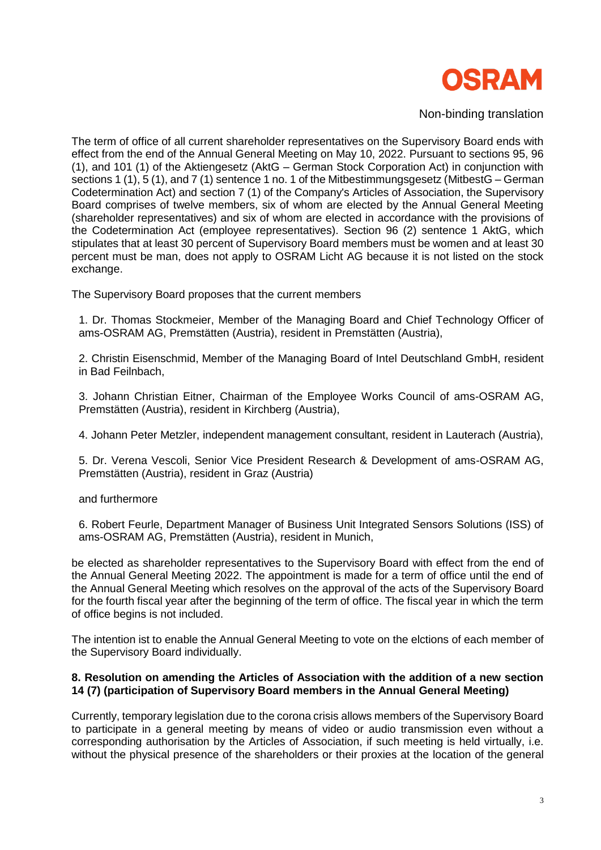

The term of office of all current shareholder representatives on the Supervisory Board ends with effect from the end of the Annual General Meeting on May 10, 2022. Pursuant to sections 95, 96 (1), and 101 (1) of the Aktiengesetz (AktG – German Stock Corporation Act) in conjunction with sections 1 (1), 5 (1), and 7 (1) sentence 1 no. 1 of the Mitbestimmungsgesetz (MitbestG – German Codetermination Act) and section 7 (1) of the Company's Articles of Association, the Supervisory Board comprises of twelve members, six of whom are elected by the Annual General Meeting (shareholder representatives) and six of whom are elected in accordance with the provisions of the Codetermination Act (employee representatives). Section 96 (2) sentence 1 AktG, which stipulates that at least 30 percent of Supervisory Board members must be women and at least 30 percent must be man, does not apply to OSRAM Licht AG because it is not listed on the stock exchange.

The Supervisory Board proposes that the current members

1. Dr. Thomas Stockmeier, Member of the Managing Board and Chief Technology Officer of ams-OSRAM AG, Premstätten (Austria), resident in Premstätten (Austria),

2. Christin Eisenschmid, Member of the Managing Board of Intel Deutschland GmbH, resident in Bad Feilnbach,

3. Johann Christian Eitner, Chairman of the Employee Works Council of ams-OSRAM AG, Premstätten (Austria), resident in Kirchberg (Austria),

4. Johann Peter Metzler, independent management consultant, resident in Lauterach (Austria),

5. Dr. Verena Vescoli, Senior Vice President Research & Development of ams-OSRAM AG, Premstätten (Austria), resident in Graz (Austria)

#### and furthermore

6. Robert Feurle, Department Manager of Business Unit Integrated Sensors Solutions (ISS) of ams-OSRAM AG, Premstätten (Austria), resident in Munich,

be elected as shareholder representatives to the Supervisory Board with effect from the end of the Annual General Meeting 2022. The appointment is made for a term of office until the end of the Annual General Meeting which resolves on the approval of the acts of the Supervisory Board for the fourth fiscal year after the beginning of the term of office. The fiscal year in which the term of office begins is not included.

The intention ist to enable the Annual General Meeting to vote on the elctions of each member of the Supervisory Board individually.

### **8. Resolution on amending the Articles of Association with the addition of a new section 14 (7) (participation of Supervisory Board members in the Annual General Meeting)**

Currently, temporary legislation due to the corona crisis allows members of the Supervisory Board to participate in a general meeting by means of video or audio transmission even without a corresponding authorisation by the Articles of Association, if such meeting is held virtually, i.e. without the physical presence of the shareholders or their proxies at the location of the general